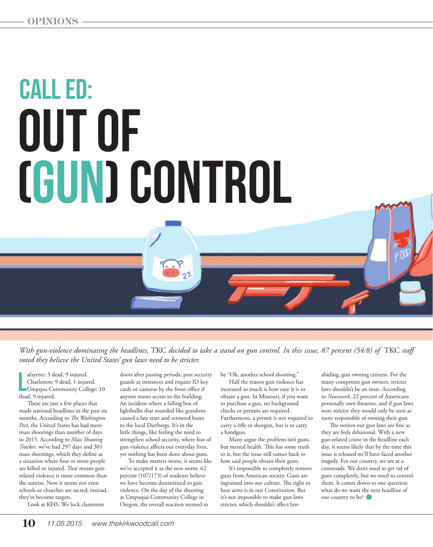## Call ed: out of (Gun) control

*With gun-violence dominating the headlines,* TKC *decided to take a stand on gun control. In this issue, 87 percent (54:8) of* TKC *staff voted they believe the United States' gun laws need to be stricter.* 

afayette: 3 de<br>Charleston: 9<br>Umpqua Co<br>dead, 9 injured. afayette: 3 dead, 9 injured. Charleston: 9 dead, 1 injured. Umpqua Community College: 10

These are just a few places that made national headlines in the past six months. According to *The Washington Post*, the United States has had more mass shootings than number of days in 2015. According to *Mass Shooting Tracker*, we've had 297 days and 301 mass shootings, which they define as a situation where four or more people are killed or injured. That means gunrelated violence is more common than the sunrise. Now it seems not even schools or churches are sacred; instead, they've become targets.

Look at KHS. We lock classroom

doors after passing periods, post security guards at entrances and require ID key cards or cameras by the front office if anyone wants access to the building. An incident where a falling box of lightbulbs that sounded like gunshots caused a late start and rerouted buses to the local Dierbergs. It's in the little things, like feeling the need to strengthen school security, where fear of gun violence affects our everyday lives, yet nothing has been done about guns.

To make matters worse, it seems like we've accepted it as the new norm. 62 percent (107/173) of students believe we have become desensitized to gun violence. On the day of the shooting at Umpuqua Community College in Oregon, the overall reaction seemed to

be "Oh, another school shooting."

Half the reason gun violence has increased so much is how easy it is to obtain a gun. In Missouri, if you want to purchase a gun, no background checks or permits are required. Furthermore, a permit is not required to carry a rifle or shotgun, but is to carry a handgun.

Many argue the problem isn't guns, but mental health. This has some truth to it, but the issue still comes back to how said people obtain their guns.

It's impossible to completely remove guns from American society. Guns are ingrained into our culture. The right to bear arms is in our Constitution. But it's not impossible to make gun laws stricter, which shouldn't affect law-

abiding, gun owning citizens. For the many competent gun owners, stricter laws shouldn't be an issue. According to *Newsweek*, 22 percent of Americans personally own firearms, and if gun laws were stricter they would only be seen as more responsible of owning their gun.

The notion our gun laws are fine as they are feels delusional. With a new gun-related crime in the headline each day, it seems likely that by the time this issue is released we'll have faced another tragedy. For our country, we are at a crossroads. We don't need to get rid of guns completely, but we need to control them. It comes down to one question: what do we want the next headline of our country to be?